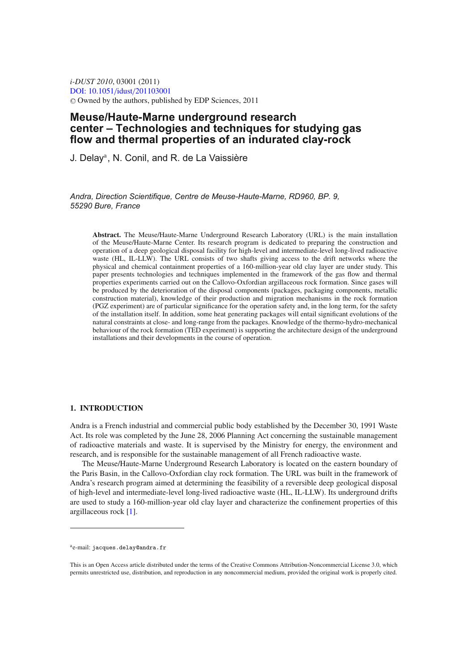*i-DUST 2010*, 03001 (2011) [DOI: 10.1051](http://dx.doi.org/10.1051/idust/201103001)/idust/201103001 -<sup>C</sup> Owned by the authors, published by EDP Sciences, 2011

# **Meuse/Haute-Marne underground research center – Technologies and techniques for studying gas flow and thermal properties of an indurated clay-rock**

J. Delay<sup>a</sup>, N. Conil, and R. de La Vaissière

*Andra, Direction Scientifique, Centre de Meuse-Haute-Marne, RD960, BP. 9, 55290 Bure, France*

**Abstract.** The Meuse/Haute-Marne Underground Research Laboratory (URL) is the main installation of the Meuse/Haute-Marne Center. Its research program is dedicated to preparing the construction and operation of a deep geological disposal facility for high-level and intermediate-level long-lived radioactive waste (HL, IL-LLW). The URL consists of two shafts giving access to the drift networks where the physical and chemical containment properties of a 160-million-year old clay layer are under study. This paper presents technologies and techniques implemented in the framework of the gas flow and thermal properties experiments carried out on the Callovo-Oxfordian argillaceous rock formation. Since gases will be produced by the deterioration of the disposal components (packages, packaging components, metallic construction material), knowledge of their production and migration mechanisms in the rock formation (PGZ experiment) are of particular significance for the operation safety and, in the long term, for the safety of the installation itself. In addition, some heat generating packages will entail significant evolutions of the natural constraints at close- and long-range from the packages. Knowledge of the thermo-hydro-mechanical behaviour of the rock formation (TED experiment) is supporting the architecture design of the underground installations and their developments in the course of operation.

### **1. INTRODUCTION**

Andra is a French industrial and commercial public body established by the December 30, 1991 Waste Act. Its role was completed by the June 28, 2006 Planning Act concerning the sustainable management of radioactive materials and waste. It is supervised by the Ministry for energy, the environment and research, and is responsible for the sustainable management of all French radioactive waste.

The Meuse/Haute-Marne Underground Research Laboratory is located on the eastern boundary of the Paris Basin, in the Callovo-Oxfordian clay rock formation. The URL was built in the framework of Andra's research program aimed at determining the feasibility of a reversible deep geological disposal of high-level and intermediate-level long-lived radioactive waste (HL, IL-LLW). Its underground drifts are used to study a 160-million-year old clay layer and characterize the confinement properties of this argillaceous rock [\[1\]](#page-8-0).

ae-mail: jacques.delay@andra.fr

This is an Open Access article distributed under the terms of the Creative Commons Attribution-Noncommercial License 3.0, which permits unrestricted use, distribution, and reproduction in any noncommercial medium, provided the original work is properly cited.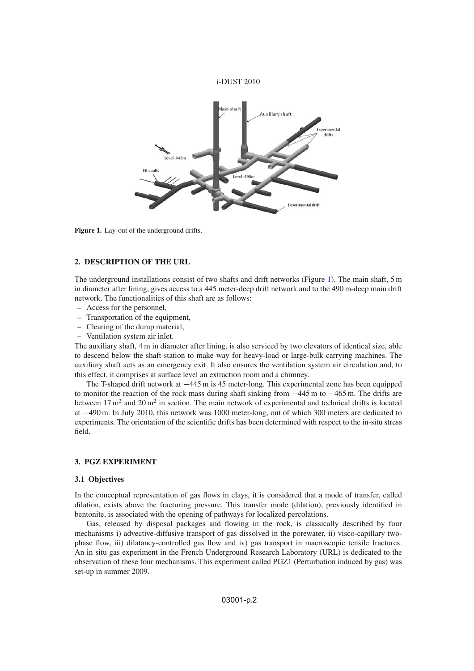### i-DUST 2010

<span id="page-1-0"></span>

**Figure 1.** Lay-out of the underground drifts.

### **2. DESCRIPTION OF THE URL**

The underground installations consist of two shafts and drift networks (Figure [1\)](#page-1-0). The main shaft, 5 m in diameter after lining, gives access to a 445 meter-deep drift network and to the 490 m-deep main drift network. The functionalities of this shaft are as follows:

- Access for the personnel,
- Transportation of the equipment,
- Clearing of the dump material,
- Ventilation system air inlet.

The auxiliary shaft, 4 m in diameter after lining, is also serviced by two elevators of identical size, able to descend below the shaft station to make way for heavy-load or large-bulk carrying machines. The auxiliary shaft acts as an emergency exit. It also ensures the ventilation system air circulation and, to this effect, it comprises at surface level an extraction room and a chimney.

The T-shaped drift network at −445 m is 45 meter-long. This experimental zone has been equipped to monitor the reaction of the rock mass during shaft sinking from −445 m to −465 m. The drifts are between  $17 \text{ m}^2$  and  $20 \text{ m}^2$  in section. The main network of experimental and technical drifts is located at −490 m. In July 2010, this network was 1000 meter-long, out of which 300 meters are dedicated to experiments. The orientation of the scientific drifts has been determined with respect to the in-situ stress field.

# **3. PGZ EXPERIMENT**

#### **3.1 Objectives**

In the conceptual representation of gas flows in clays, it is considered that a mode of transfer, called dilation, exists above the fracturing pressure. This transfer mode (dilation), previously identified in bentonite, is associated with the opening of pathways for localized percolations.

Gas, released by disposal packages and flowing in the rock, is classically described by four mechanisms i) advective-diffusive transport of gas dissolved in the porewater, ii) visco-capillary twophase flow, iii) dilatancy-controlled gas flow and iv) gas transport in macroscopic tensile fractures. An in situ gas experiment in the French Underground Research Laboratory (URL) is dedicated to the observation of these four mechanisms. This experiment called PGZ1 (Perturbation induced by gas) was set-up in summer 2009.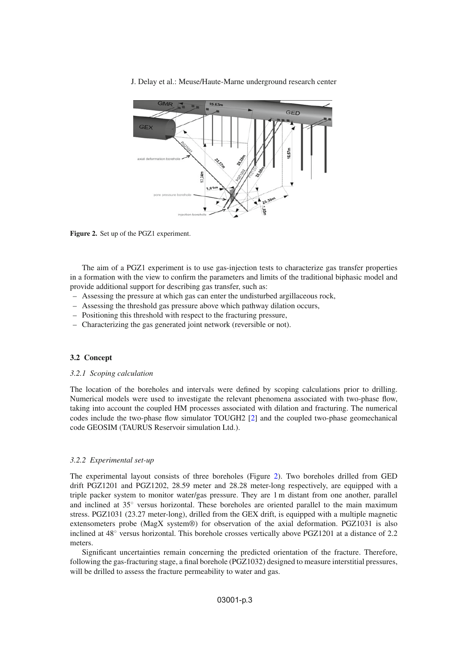J. Delay et al.: Meuse/Haute-Marne underground research center

<span id="page-2-0"></span>

Figure 2. Set up of the PGZ1 experiment.

The aim of a PGZ1 experiment is to use gas-injection tests to characterize gas transfer properties in a formation with the view to confirm the parameters and limits of the traditional biphasic model and provide additional support for describing gas transfer, such as:

- Assessing the pressure at which gas can enter the undisturbed argillaceous rock,
- Assessing the threshold gas pressure above which pathway dilation occurs,
- Positioning this threshold with respect to the fracturing pressure,
- Characterizing the gas generated joint network (reversible or not).

### **3.2 Concept**

#### *3.2.1 Scoping calculation*

The location of the boreholes and intervals were defined by scoping calculations prior to drilling. Numerical models were used to investigate the relevant phenomena associated with two-phase flow, taking into account the coupled HM processes associated with dilation and fracturing. The numerical codes include the two-phase flow simulator TOUGH2 [\[2\]](#page-8-1) and the coupled two-phase geomechanical code GEOSIM (TAURUS Reservoir simulation Ltd.).

### *3.2.2 Experimental set-up*

The experimental layout consists of three boreholes (Figure [2\)](#page-2-0). Two boreholes drilled from GED drift PGZ1201 and PGZ1202, 28.59 meter and 28.28 meter-long respectively, are equipped with a triple packer system to monitor water/gas pressure. They are 1 m distant from one another, parallel and inclined at 35◦ versus horizontal. These boreholes are oriented parallel to the main maximum stress. PGZ1031 (23.27 meter-long), drilled from the GEX drift, is equipped with a multiple magnetic extensometers probe (MagX system®) for observation of the axial deformation. PGZ1031 is also inclined at 48◦ versus horizontal. This borehole crosses vertically above PGZ1201 at a distance of 2.2 meters.

Significant uncertainties remain concerning the predicted orientation of the fracture. Therefore, following the gas-fracturing stage, a final borehole (PGZ1032) designed to measure interstitial pressures, will be drilled to assess the fracture permeability to water and gas.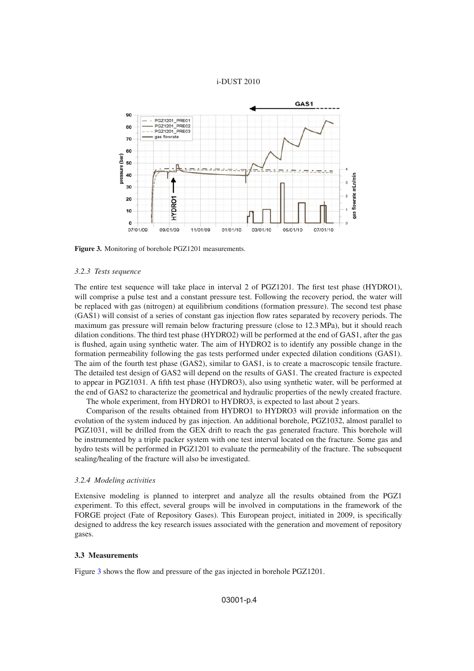

<span id="page-3-0"></span>

**Figure 3.** Monitoring of borehole PGZ1201 measurements.

#### *3.2.3 Tests sequence*

The entire test sequence will take place in interval 2 of PGZ1201. The first test phase (HYDRO1), will comprise a pulse test and a constant pressure test. Following the recovery period, the water will be replaced with gas (nitrogen) at equilibrium conditions (formation pressure). The second test phase (GAS1) will consist of a series of constant gas injection flow rates separated by recovery periods. The maximum gas pressure will remain below fracturing pressure (close to 12.3 MPa), but it should reach dilation conditions. The third test phase (HYDRO2) will be performed at the end of GAS1, after the gas is flushed, again using synthetic water. The aim of HYDRO2 is to identify any possible change in the formation permeability following the gas tests performed under expected dilation conditions (GAS1). The aim of the fourth test phase (GAS2), similar to GAS1, is to create a macroscopic tensile fracture. The detailed test design of GAS2 will depend on the results of GAS1. The created fracture is expected to appear in PGZ1031. A fifth test phase (HYDRO3), also using synthetic water, will be performed at the end of GAS2 to characterize the geometrical and hydraulic properties of the newly created fracture. The whole experiment, from HYDRO1 to HYDRO3, is expected to last about 2 years.

Comparison of the results obtained from HYDRO1 to HYDRO3 will provide information on the evolution of the system induced by gas injection. An additional borehole, PGZ1032, almost parallel to PGZ1031, will be drilled from the GEX drift to reach the gas generated fracture. This borehole will be instrumented by a triple packer system with one test interval located on the fracture. Some gas and hydro tests will be performed in PGZ1201 to evaluate the permeability of the fracture. The subsequent sealing/healing of the fracture will also be investigated.

### *3.2.4 Modeling activities*

Extensive modeling is planned to interpret and analyze all the results obtained from the PGZ1 experiment. To this effect, several groups will be involved in computations in the framework of the FORGE project (Fate of Repository Gases). This European project, initiated in 2009, is specifically designed to address the key research issues associated with the generation and movement of repository gases.

#### **3.3 Measurements**

Figure [3](#page-3-0) shows the flow and pressure of the gas injected in borehole PGZ1201.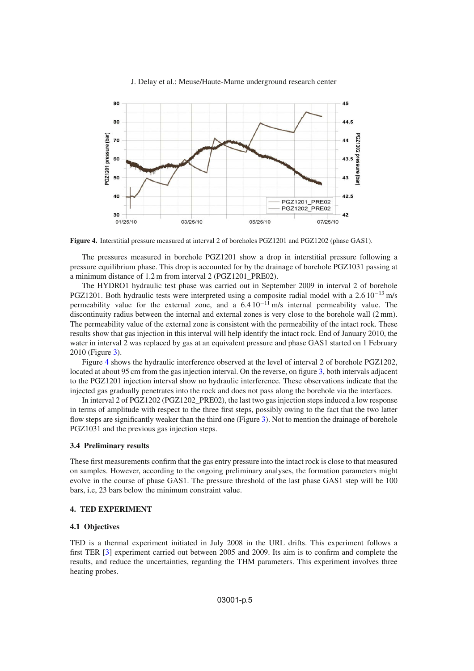<span id="page-4-0"></span>

J. Delay et al.: Meuse/Haute-Marne underground research center

**Figure 4.** Interstitial pressure measured at interval 2 of boreholes PGZ1201 and PGZ1202 (phase GAS1).

The pressures measured in borehole PGZ1201 show a drop in interstitial pressure following a pressure equilibrium phase. This drop is accounted for by the drainage of borehole PGZ1031 passing at a minimum distance of 1.2 m from interval 2 (PGZ1201\_PRE02).

The HYDRO1 hydraulic test phase was carried out in September 2009 in interval 2 of borehole PGZ1201. Both hydraulic tests were interpreted using a composite radial model with a 2.6  $10^{-13}$  m/s permeability value for the external zone, and a 6.4 10−<sup>11</sup> m/s internal permeability value. The discontinuity radius between the internal and external zones is very close to the borehole wall (2 mm). The permeability value of the external zone is consistent with the permeability of the intact rock. These results show that gas injection in this interval will help identify the intact rock. End of January 2010, the water in interval 2 was replaced by gas at an equivalent pressure and phase GAS1 started on 1 February 2010 (Figure [3\)](#page-3-0).

Figure [4](#page-4-0) shows the hydraulic interference observed at the level of interval 2 of borehole PGZ1202, located at about 95 cm from the gas injection interval. On the reverse, on figure [3,](#page-3-0) both intervals adjacent to the PGZ1201 injection interval show no hydraulic interference. These observations indicate that the injected gas gradually penetrates into the rock and does not pass along the borehole via the interfaces.

In interval 2 of PGZ1202 (PGZ1202 PRE02), the last two gas injection steps induced a low response in terms of amplitude with respect to the three first steps, possibly owing to the fact that the two latter flow steps are significantly weaker than the third one (Figure [3\)](#page-3-0). Not to mention the drainage of borehole PGZ1031 and the previous gas injection steps.

# **3.4 Preliminary results**

These first measurements confirm that the gas entry pressure into the intact rock is close to that measured on samples. However, according to the ongoing preliminary analyses, the formation parameters might evolve in the course of phase GAS1. The pressure threshold of the last phase GAS1 step will be 100 bars, i.e, 23 bars below the minimum constraint value.

# **4. TED EXPERIMENT**

# **4.1 Objectives**

TED is a thermal experiment initiated in July 2008 in the URL drifts. This experiment follows a first TER [\[3](#page-8-2)] experiment carried out between 2005 and 2009. Its aim is to confirm and complete the results, and reduce the uncertainties, regarding the THM parameters. This experiment involves three heating probes.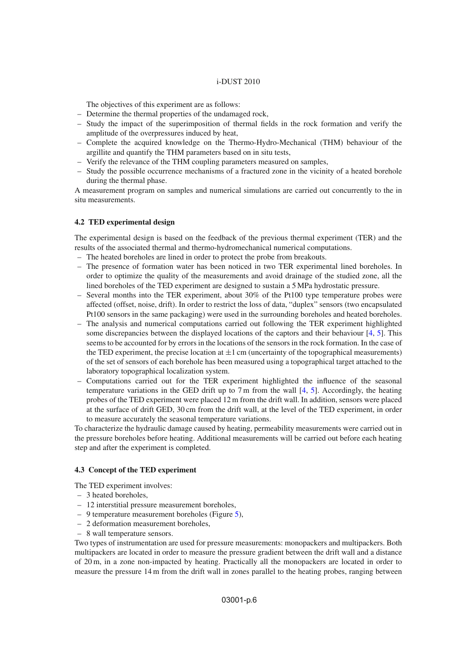### i-DUST 2010

The objectives of this experiment are as follows:

- Determine the thermal properties of the undamaged rock,
- Study the impact of the superimposition of thermal fields in the rock formation and verify the amplitude of the overpressures induced by heat,
- Complete the acquired knowledge on the Thermo-Hydro-Mechanical (THM) behaviour of the argillite and quantify the THM parameters based on in situ tests,
- Verify the relevance of the THM coupling parameters measured on samples,
- Study the possible occurrence mechanisms of a fractured zone in the vicinity of a heated borehole during the thermal phase.

A measurement program on samples and numerical simulations are carried out concurrently to the in situ measurements.

### **4.2 TED experimental design**

The experimental design is based on the feedback of the previous thermal experiment (TER) and the results of the associated thermal and thermo-hydromechanical numerical computations.

- The heated boreholes are lined in order to protect the probe from breakouts.
- The presence of formation water has been noticed in two TER experimental lined boreholes. In order to optimize the quality of the measurements and avoid drainage of the studied zone, all the lined boreholes of the TED experiment are designed to sustain a 5 MPa hydrostatic pressure.
- Several months into the TER experiment, about 30% of the Pt100 type temperature probes were affected (offset, noise, drift). In order to restrict the loss of data, "duplex" sensors (two encapsulated Pt100 sensors in the same packaging) were used in the surrounding boreholes and heated boreholes.
- The analysis and numerical computations carried out following the TER experiment highlighted some discrepancies between the displayed locations of the captors and their behaviour  $[4, 5]$  $[4, 5]$  $[4, 5]$  $[4, 5]$ . This seems to be accounted for by errors in the locations of the sensors in the rock formation. In the case of the TED experiment, the precise location at  $\pm 1$  cm (uncertainty of the topographical measurements) of the set of sensors of each borehole has been measured using a topographical target attached to the laboratory topographical localization system.
- Computations carried out for the TER experiment highlighted the influence of the seasonal temperature variations in the GED drift up to  $7 \text{ m}$  from the wall [\[4](#page-8-3), [5](#page-8-4)]. Accordingly, the heating probes of the TED experiment were placed 12 m from the drift wall. In addition, sensors were placed at the surface of drift GED, 30 cm from the drift wall, at the level of the TED experiment, in order to measure accurately the seasonal temperature variations.

To characterize the hydraulic damage caused by heating, permeability measurements were carried out in the pressure boreholes before heating. Additional measurements will be carried out before each heating step and after the experiment is completed.

### **4.3 Concept of the TED experiment**

The TED experiment involves:

- 3 heated boreholes,
- 12 interstitial pressure measurement boreholes,
- 9 temperature measurement boreholes (Figure [5\)](#page-6-0),
- 2 deformation measurement boreholes,
- 8 wall temperature sensors.

Two types of instrumentation are used for pressure measurements: monopackers and multipackers. Both multipackers are located in order to measure the pressure gradient between the drift wall and a distance of 20 m, in a zone non-impacted by heating. Practically all the monopackers are located in order to measure the pressure 14 m from the drift wall in zones parallel to the heating probes, ranging between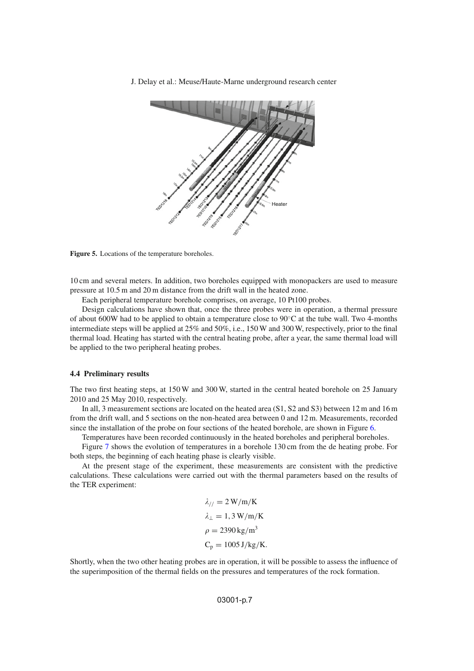<span id="page-6-0"></span>J. Delay et al.: Meuse/Haute-Marne underground research center



**Figure 5.** Locations of the temperature boreholes.

10 cm and several meters. In addition, two boreholes equipped with monopackers are used to measure pressure at 10.5 m and 20 m distance from the drift wall in the heated zone.

Each peripheral temperature borehole comprises, on average, 10 Pt100 probes.

Design calculations have shown that, once the three probes were in operation, a thermal pressure of about 600W had to be applied to obtain a temperature close to 90◦C at the tube wall. Two 4-months intermediate steps will be applied at 25% and 50%, i.e., 150 W and 300 W, respectively, prior to the final thermal load. Heating has started with the central heating probe, after a year, the same thermal load will be applied to the two peripheral heating probes.

# **4.4 Preliminary results**

The two first heating steps, at 150 W and 300 W, started in the central heated borehole on 25 January 2010 and 25 May 2010, respectively.

In all, 3 measurement sections are located on the heated area (S1, S2 and S3) between 12 m and 16 m from the drift wall, and 5 sections on the non-heated area between 0 and 12 m. Measurements, recorded since the installation of the probe on four sections of the heated borehole, are shown in Figure [6.](#page-7-0)

Temperatures have been recorded continuously in the heated boreholes and peripheral boreholes.

Figure [7](#page-7-1) shows the evolution of temperatures in a borehole 130 cm from the de heating probe. For both steps, the beginning of each heating phase is clearly visible.

At the present stage of the experiment, these measurements are consistent with the predictive calculations. These calculations were carried out with the thermal parameters based on the results of the TER experiment:

$$
\lambda_{//} = 2 \text{ W/m/K}
$$

$$
\lambda_{\perp} = 1,3 \text{ W/m/K}
$$

$$
\rho = 2390 \text{ kg/m}^3
$$

$$
\text{C}_p = 1005 \text{ J/kg/K}.
$$

Shortly, when the two other heating probes are in operation, it will be possible to assess the influence of the superimposition of the thermal fields on the pressures and temperatures of the rock formation.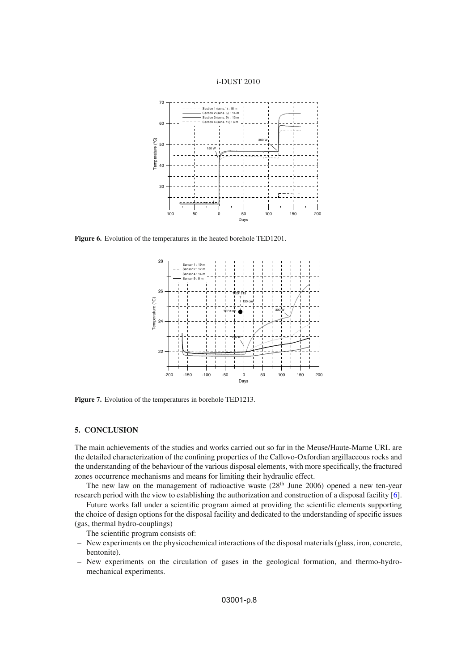

<span id="page-7-0"></span>

<span id="page-7-1"></span>**Figure 6.** Evolution of the temperatures in the heated borehole TED1201.



**Figure 7.** Evolution of the temperatures in borehole TED1213.

### **5. CONCLUSION**

The main achievements of the studies and works carried out so far in the Meuse/Haute-Marne URL are the detailed characterization of the confining properties of the Callovo-Oxfordian argillaceous rocks and the understanding of the behaviour of the various disposal elements, with more specifically, the fractured zones occurrence mechanisms and means for limiting their hydraulic effect.

The new law on the management of radioactive waste  $(28<sup>th</sup>$  June 2006) opened a new ten-year research period with the view to establishing the authorization and construction of a disposal facility [\[6\]](#page-8-5).

Future works fall under a scientific program aimed at providing the scientific elements supporting the choice of design options for the disposal facility and dedicated to the understanding of specific issues (gas, thermal hydro-couplings)

The scientific program consists of:

- New experiments on the physicochemical interactions of the disposal materials (glass, iron, concrete, bentonite).
- New experiments on the circulation of gases in the geological formation, and thermo-hydromechanical experiments.